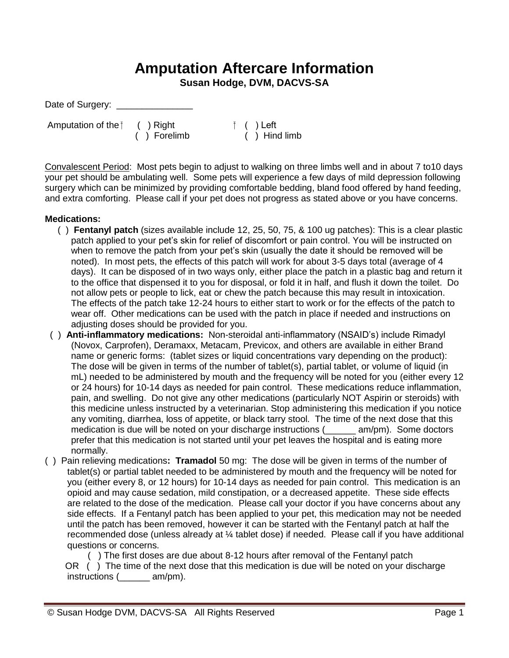## **Amputation Aftercare Information**

**Susan Hodge, DVM, DACVS-SA**

Date of Surgery: \_

Amputation of the  $\uparrow$  ( ) Right  $\uparrow$  ( ) Left

( ) Forelimb ( ) Hind limb

Convalescent Period: Most pets begin to adjust to walking on three limbs well and in about 7 to10 days your pet should be ambulating well. Some pets will experience a few days of mild depression following surgery which can be minimized by providing comfortable bedding, bland food offered by hand feeding, and extra comforting. Please call if your pet does not progress as stated above or you have concerns.

## **Medications:**

- ( ) **Fentanyl patch** (sizes available include 12, 25, 50, 75, & 100 ug patches): This is a clear plastic patch applied to your pet's skin for relief of discomfort or pain control. You will be instructed on when to remove the patch from your pet's skin (usually the date it should be removed will be noted). In most pets, the effects of this patch will work for about 3-5 days total (average of 4 days). It can be disposed of in two ways only, either place the patch in a plastic bag and return it to the office that dispensed it to you for disposal, or fold it in half, and flush it down the toilet. Do not allow pets or people to lick, eat or chew the patch because this may result in intoxication. The effects of the patch take 12-24 hours to either start to work or for the effects of the patch to wear off. Other medications can be used with the patch in place if needed and instructions on adjusting doses should be provided for you.
- ( ) **Anti-inflammatory medications:** Non-steroidal anti-inflammatory (NSAID's) include Rimadyl (Novox, Carprofen), Deramaxx, Metacam, Previcox, and others are available in either Brand name or generic forms: (tablet sizes or liquid concentrations vary depending on the product): The dose will be given in terms of the number of tablet(s), partial tablet, or volume of liquid (in mL) needed to be administered by mouth and the frequency will be noted for you (either every 12 or 24 hours) for 10-14 days as needed for pain control. These medications reduce inflammation, pain, and swelling. Do not give any other medications (particularly NOT Aspirin or steroids) with this medicine unless instructed by a veterinarian. Stop administering this medication if you notice any vomiting, diarrhea, loss of appetite, or black tarry stool. The time of the next dose that this medication is due will be noted on your discharge instructions (
<u></u> \_\_\_\_\_ am/pm). Some doctors prefer that this medication is not started until your pet leaves the hospital and is eating more normally.
- ( ) Pain relieving medications**: Tramadol** 50 mg: The dose will be given in terms of the number of tablet(s) or partial tablet needed to be administered by mouth and the frequency will be noted for you (either every 8, or 12 hours) for 10-14 days as needed for pain control. This medication is an opioid and may cause sedation, mild constipation, or a decreased appetite. These side effects are related to the dose of the medication. Please call your doctor if you have concerns about any side effects. If a Fentanyl patch has been applied to your pet, this medication may not be needed until the patch has been removed, however it can be started with the Fentanyl patch at half the recommended dose (unless already at ¼ tablet dose) if needed. Please call if you have additional questions or concerns.

 ( ) The first doses are due about 8-12 hours after removal of the Fentanyl patch OR () The time of the next dose that this medication is due will be noted on your discharge instructions (\_\_\_\_\_\_ am/pm).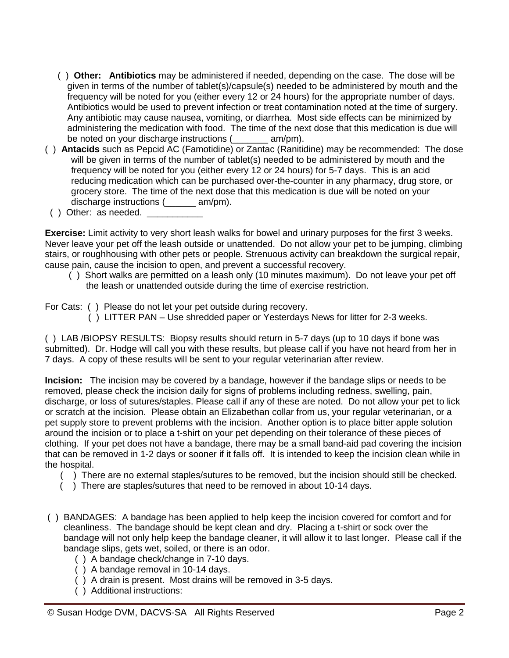- ( ) **Other: Antibiotics** may be administered if needed, depending on the case. The dose will be given in terms of the number of tablet(s)/capsule(s) needed to be administered by mouth and the frequency will be noted for you (either every 12 or 24 hours) for the appropriate number of days. Antibiotics would be used to prevent infection or treat contamination noted at the time of surgery. Any antibiotic may cause nausea, vomiting, or diarrhea. Most side effects can be minimized by administering the medication with food. The time of the next dose that this medication is due will be noted on your discharge instructions (\_\_\_\_\_\_\_ am/pm).
- ( ) **Antacids** such as Pepcid AC (Famotidine) or Zantac (Ranitidine) may be recommended:The dose will be given in terms of the number of tablet(s) needed to be administered by mouth and the frequency will be noted for you (either every 12 or 24 hours) for 5-7 days. This is an acid reducing medication which can be purchased over-the-counter in any pharmacy, drug store, or grocery store. The time of the next dose that this medication is due will be noted on your discharge instructions (  $am/m$ ).
- $($  ) Other: as needed.

**Exercise:** Limit activity to very short leash walks for bowel and urinary purposes for the first 3 weeks. Never leave your pet off the leash outside or unattended. Do not allow your pet to be jumping, climbing stairs, or roughhousing with other pets or people. Strenuous activity can breakdown the surgical repair, cause pain, cause the incision to open, and prevent a successful recovery.

- ( ) Short walks are permitted on a leash only (10 minutes maximum). Do not leave your pet off the leash or unattended outside during the time of exercise restriction.
- For Cats: ( ) Please do not let your pet outside during recovery.
	- ( ) LITTER PAN Use shredded paper or Yesterdays News for litter for 2-3 weeks.

( ) LAB /BIOPSY RESULTS: Biopsy results should return in 5-7 days (up to 10 days if bone was submitted). Dr. Hodge will call you with these results, but please call if you have not heard from her in 7 days. A copy of these results will be sent to your regular veterinarian after review.

**Incision:** The incision may be covered by a bandage, however if the bandage slips or needs to be removed, please check the incision daily for signs of problems including redness, swelling, pain, discharge, or loss of sutures/staples. Please call if any of these are noted. Do not allow your pet to lick or scratch at the incision. Please obtain an Elizabethan collar from us, your regular veterinarian, or a pet supply store to prevent problems with the incision. Another option is to place bitter apple solution around the incision or to place a t-shirt on your pet depending on their tolerance of these pieces of clothing. If your pet does not have a bandage, there may be a small band-aid pad covering the incision that can be removed in 1-2 days or sooner if it falls off. It is intended to keep the incision clean while in the hospital.

- ( ) There are no external staples/sutures to be removed, but the incision should still be checked.
- ( ) There are staples/sutures that need to be removed in about 10-14 days.
- ( ) BANDAGES: A bandage has been applied to help keep the incision covered for comfort and for cleanliness. The bandage should be kept clean and dry. Placing a t-shirt or sock over the bandage will not only help keep the bandage cleaner, it will allow it to last longer. Please call if the bandage slips, gets wet, soiled, or there is an odor.
	- ( ) A bandage check/change in 7-10 days.
	- ( ) A bandage removal in 10-14 days.
	- ( ) A drain is present. Most drains will be removed in 3-5 days.
	- ( ) Additional instructions: